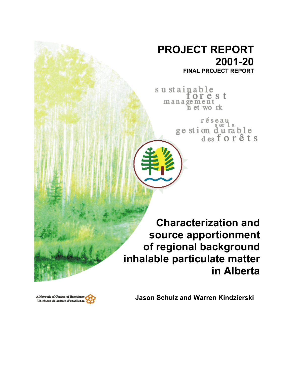# **PROJECT REPORT 2001-20 FINAL PROJECT REPORT**

sustainable orest management<br>net work

> réseau ge stion durable<br>desforêts

**Characterization and source apportionment of regional background inhalable particulate matter in Alberta**



**Jason Schulz and Warren Kindzierski**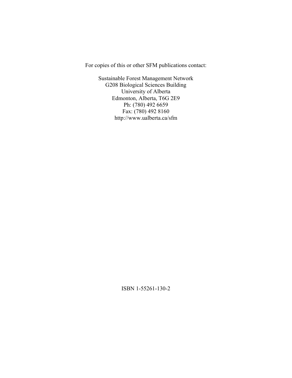For copies of this or other SFM publications contact:

Sustainable Forest Management Network G208 Biological Sciences Building University of Alberta Edmonton, Alberta, T6G 2E9 Ph: (780) 492 6659 Fax: (780) 492 8160 http://www.ualberta.ca/sfm

ISBN 1-55261-130-2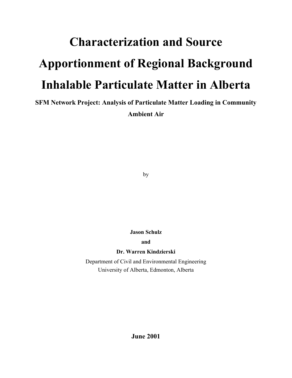# **Characterization and Source Apportionment of Regional Background Inhalable Particulate Matter in Alberta**

**SFM Network Project: Analysis of Particulate Matter Loading in Community Ambient Air** 

by

**Jason Schulz**

**and** 

**Dr. Warren Kindzierski** 

Department of Civil and Environmental Engineering University of Alberta, Edmonton, Alberta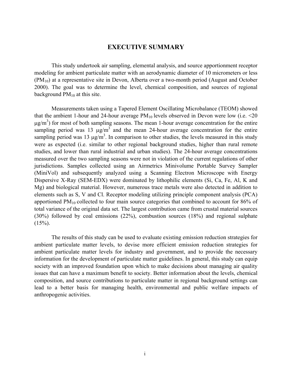# **EXECUTIVE SUMMARY**

This study undertook air sampling, elemental analysis, and source apportionment receptor modeling for ambient particulate matter with an aerodynamic diameter of 10 micrometers or less  $(PM_{10})$  at a representative site in Devon, Alberta over a two-month period (August and October 2000). The goal was to determine the level, chemical composition, and sources of regional background  $PM_{10}$  at this site.

Measurements taken using a Tapered Element Oscillating Microbalance (TEOM) showed that the ambient 1-hour and 24-hour average  $PM_{10}$  levels observed in Devon were low (i.e.  $\leq 20$ )  $\mu$ g/m<sup>3</sup>) for most of both sampling seasons. The mean 1-hour average concentration for the entire sampling period was 13  $\mu$ g/m<sup>3</sup> and the mean 24-hour average concentration for the entire sampling period was 13  $\mu$ g/m<sup>3</sup>. In comparison to other studies, the levels measured in this study were as expected (i.e. similar to other regional background studies, higher than rural remote studies, and lower than rural industrial and urban studies). The 24-hour average concentrations measured over the two sampling seasons were not in violation of the current regulations of other jurisdictions. Samples collected using an Airmetrics Minivolume Portable Survey Sampler (MiniVol) and subsequently analyzed using a Scanning Electron Microscope with Energy Dispersive X-Ray (SEM-EDX) were dominated by lithophilic elements (Si, Ca, Fe, Al, K and Mg) and biological material. However, numerous trace metals were also detected in addition to elements such as S, V and Cl. Receptor modeling utilizing principle component analysis (PCA) apportioned PM10 collected to four main source categories that combined to account for 86% of total variance of the original data set. The largest contribution came from crustal material sources (30%) followed by coal emissions (22%), combustion sources (18%) and regional sulphate  $(15\%)$ .

The results of this study can be used to evaluate existing emission reduction strategies for ambient particulate matter levels, to devise more efficient emission reduction strategies for ambient particulate matter levels for industry and government, and to provide the necessary information for the development of particulate matter guidelines. In general, this study can equip society with an improved foundation upon which to make decisions about managing air quality issues that can have a maximum benefit to society. Better information about the levels, chemical composition, and source contributions to particulate matter in regional background settings can lead to a better basis for managing health, environmental and public welfare impacts of anthropogenic activities.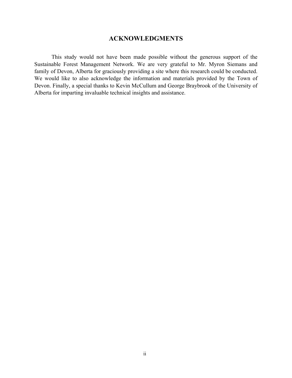# **ACKNOWLEDGMENTS**

This study would not have been made possible without the generous support of the Sustainable Forest Management Network. We are very grateful to Mr. Myron Siemans and family of Devon, Alberta for graciously providing a site where this research could be conducted. We would like to also acknowledge the information and materials provided by the Town of Devon. Finally, a special thanks to Kevin McCullum and George Braybrook of the University of Alberta for imparting invaluable technical insights and assistance.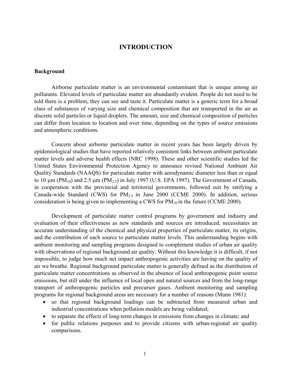# **INTRODUCTION**

#### **Background**

Airborne particulate matter is an environmental contaminant that is unique among air pollutants. Elevated levels of particulate matter are abundantly evident. People do not need to be told there is a problem, they can see and taste it. Particulate matter is a generic term for a broad class of substances of varying size and chemical composition that are transported in the air as discrete solid particles or liquid droplets. The amount, size and chemical composition of particles can differ from location to location and over time, depending on the types of source emissions and atmospheric conditions.

Concern about airborne particulate matter in recent years has been largely driven by epidemiological studies that have reported relatively consistent links between ambient particulate matter levels and adverse health effects (NRC 1998). These and other scientific studies led the United States Environmental Protection Agency to announce revised National Ambient Air Quality Standards (NAAQS) for particulate matter with aerodynamic diameter less than or equal to 10  $\mu$ m (PM<sub>10</sub>) and 2.5  $\mu$ m (PM<sub>2.5</sub>) in July 1997 (U.S. EPA 1997). The Government of Canada, in cooperation with the provincial and territorial governments, followed suit by ratifying a Canada-wide Standard (CWS) for  $PM_{2.5}$  in June 2000 (CCME 2000). In addition, serious consideration is being given to implementing a CWS for  $PM_{10}$  in the future (CCME 2000).

Development of particulate matter control programs by government and industry and evaluation of their effectiveness as new standards and sources are introduced, necessitates an accurate understanding of the chemical and physical properties of particulate matter, its origins, and the contribution of each source to particulate matter levels. This understanding begins with ambient monitoring and sampling programs designed to complement studies of urban air quality with observations of regional background air quality. Without this knowledge it is difficult, if not impossible, to judge how much net impact anthropogenic activities are having on the quality of air we breathe. Regional background particulate matter is generally defined as the distribution of particulate matter concentrations as observed in the absence of local anthropogenic point source emissions, but still under the influence of local open and natural sources and from the long-range transport of anthropogenic particles and precursor gases. Ambient monitoring and sampling programs for regional background areas are necessary for a number of reasons (Munn 1981):

- so that regional background loadings can be subtracted from measured urban and industrial concentrations when pollution models are being validated;
- to separate the effects of long-term changes in emissions from changes in climate; and
- for public relations purposes and to provide citizens with urban-regional air quality comparisons.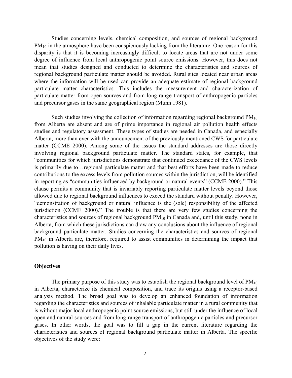Studies concerning levels, chemical composition, and sources of regional background  $PM_{10}$  in the atmosphere have been conspicuously lacking from the literature. One reason for this disparity is that it is becoming increasingly difficult to locate areas that are not under some degree of influence from local anthropogenic point source emissions. However, this does not mean that studies designed and conducted to determine the characteristics and sources of regional background particulate matter should be avoided. Rural sites located near urban areas where the information will be used can provide an adequate estimate of regional background particulate matter characteristics. This includes the measurement and characterization of particulate matter from open sources and from long-range transport of anthropogenic particles and precursor gases in the same geographical region (Munn 1981).

Such studies involving the collection of information regarding regional background  $PM_{10}$ from Alberta are absent and are of prime importance in regional air pollution health effects studies and regulatory assessment. These types of studies are needed in Canada, and especially Alberta, more than ever with the announcement of the previously mentioned CWS for particulate matter (CCME 2000). Among some of the issues the standard addresses are those directly involving regional background particulate matter. The standard states, for example, that "communities for which jurisdictions demonstrate that continued exceedance of the CWS levels is primarily due to…regional particulate matter and that best efforts have been made to reduce contributions to the excess levels from pollution sources within the jurisdiction, will be identified in reporting as "communities influenced by background or natural events" (CCME 2000)." This clause permits a community that is invariably reporting particulate matter levels beyond those allowed due to regional background influences to exceed the standard without penalty. However, "demonstration of background or natural influence is the (sole) responsibility of the affected jurisdiction (CCME 2000)." The trouble is that there are very few studies concerning the characteristics and sources of regional background  $PM_{10}$  in Canada and, until this study, none in Alberta, from which these jurisdictions can draw any conclusions about the influence of regional background particulate matter. Studies concerning the characteristics and sources of regional  $PM_{10}$  in Alberta are, therefore, required to assist communities in determining the impact that pollution is having on their daily lives.

#### **Objectives**

The primary purpose of this study was to establish the regional background level of  $PM_{10}$ in Alberta, characterize its chemical composition, and trace its origins using a receptor-based analysis method. The broad goal was to develop an enhanced foundation of information regarding the characteristics and sources of inhalable particulate matter in a rural community that is without major local anthropogenic point source emissions, but still under the influence of local open and natural sources and from long-range transport of anthropogenic particles and precursor gases. In other words, the goal was to fill a gap in the current literature regarding the characteristics and sources of regional background particulate matter in Alberta. The specific objectives of the study were: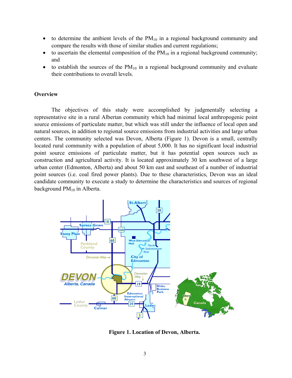- to determine the ambient levels of the  $PM_{10}$  in a regional background community and compare the results with those of similar studies and current regulations; •
- to ascertain the elemental composition of the  $PM_{10}$  in a regional background community; and
- to establish the sources of the  $PM_{10}$  in a regional background community and evaluate their contributions to overall levels.

# **Overview**

The objectives of this study were accomplished by judgmentally selecting a representative site in a rural Albertan community which had minimal local anthropogenic point source emissions of particulate matter, but which was still under the influence of local open and natural sources, in addition to regional source emissions from industrial activities and large urban centers. The community selected was Devon, Alberta (Figure 1). Devon is a small, centrally located rural community with a population of about 5,000. It has no significant local industrial point source emissions of particulate matter, but it has potential open sources such as construction and agricultural activity. It is located approximately 30 km southwest of a large urban center (Edmonton, Alberta) and about 50 km east and southeast of a number of industrial point sources (i.e. coal fired power plants). Due to these characteristics, Devon was an ideal candidate community to execute a study to determine the characteristics and sources of regional background PM<sub>10</sub> in Alberta.



**Figure 1. Location of Devon, Alberta.**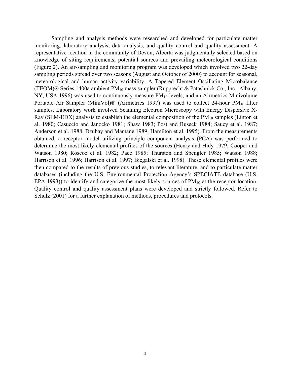Sampling and analysis methods were researched and developed for particulate matter monitoring, laboratory analysis, data analysis, and quality control and quality assessment. A representative location in the community of Devon, Alberta was judgmentally selected based on knowledge of siting requirements, potential sources and prevailing meteorological conditions (Figure 2). An air-sampling and monitoring program was developed which involved two 22-day sampling periods spread over two seasons (August and October of 2000) to account for seasonal, meteorological and human activity variability. A Tapered Element Oscillating Microbalance (TEOM)® Series 1400a ambient PM<sub>10</sub> mass sampler (Rupprecht & Patashnick Co., Inc., Albany, NY, USA 1996) was used to continuously measure  $PM_{10}$  levels, and an Airmetrics Minivolume Portable Air Sampler (MiniVol) $\mathcal{D}$  (Airmetrics 1997) was used to collect 24-hour PM<sub>10</sub> filter samples. Laboratory work involved Scanning Electron Microscopy with Energy Dispersive X-Ray (SEM-EDX) analysis to establish the elemental composition of the  $PM_{10}$  samples (Linton et al. 1980; Casuccio and Janocko 1981; Shaw 1983; Post and Buseck 1984; Saucy et al. 1987; Anderson et al. 1988; Dzubay and Mamane 1989; Hamilton et al. 1995). From the measurements obtained, a receptor model utilizing principle component analysis (PCA) was performed to determine the most likely elemental profiles of the sources (Henry and Hidy 1979; Cooper and Watson 1980; Roscoe et al. 1982; Pace 1985; Thurston and Spengler 1985; Watson 1988; Harrison et al. 1996; Harrison et al. 1997; Biegalski et al. 1998). These elemental profiles were then compared to the results of previous studies, to relevant literature, and to particulate matter databases (including the U.S. Environmental Protection Agency's SPECIATE database (U.S. EPA 1993)) to identify and categorize the most likely sources of  $PM_{10}$  at the receptor location. Quality control and quality assessment plans were developed and strictly followed. Refer to Schulz (2001) for a further explanation of methods, procedures and protocols.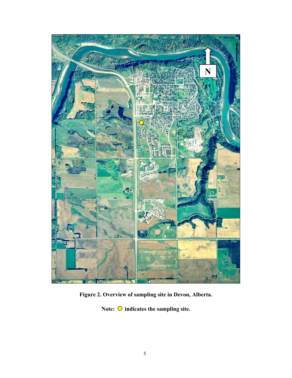

**Figure 2. Overview of sampling site in Devon, Alberta.** 

Note:  $\bigcirc$  indicates the sampling site.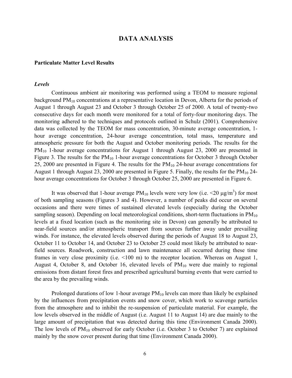## **DATA ANALYSIS**

#### **Particulate Matter Level Results**

#### *Levels*

Continuous ambient air monitoring was performed using a TEOM to measure regional background PM<sub>10</sub> concentrations at a representative location in Devon, Alberta for the periods of August 1 through August 23 and October 3 through October 25 of 2000. A total of twenty-two consecutive days for each month were monitored for a total of forty-four monitoring days. The monitoring adhered to the techniques and protocols outlined in Schulz (2001). Comprehensive data was collected by the TEOM for mass concentration, 30-minute average concentration, 1 hour average concentration, 24-hour average concentration, total mass, temperature and atmospheric pressure for both the August and October monitoring periods. The results for the PM<sub>10</sub> 1-hour average concentrations for August 1 through August 23, 2000 are presented in Figure 3. The results for the  $PM_{10}$  1-hour average concentrations for October 3 through October 25, 2000 are presented in Figure 4. The results for the PM<sub>10</sub> 24-hour average concentrations for August 1 through August 23, 2000 are presented in Figure 5. Finally, the results for the  $PM_{10}$  24hour average concentrations for October 3 through October 25, 2000 are presented in Figure 6.

It was observed that 1-hour average  $PM_{10}$  levels were very low (i.e. <20  $\mu$ g/m<sup>3</sup>) for most of both sampling seasons (Figures 3 and 4). However, a number of peaks did occur on several occasions and there were times of sustained elevated levels (especially during the October sampling season). Depending on local meteorological conditions, short-term fluctuations in  $PM_{10}$ levels at a fixed location (such as the monitoring site in Devon) can generally be attributed to near-field sources and/or atmospheric transport from sources further away under prevailing winds. For instance, the elevated levels observed during the periods of August 18 to August 23, October 11 to October 14, and October 23 to October 25 could most likely be attributed to nearfield sources. Roadwork, construction and lawn maintenance all occurred during these time frames in very close proximity (i.e. <100 m) to the receptor location. Whereas on August 1, August 4, October 8, and October 16, elevated levels of  $PM_{10}$  were due mainly to regional emissions from distant forest fires and prescribed agricultural burning events that were carried to the area by the prevailing winds.

Prolonged durations of low 1-hour average  $PM_{10}$  levels can more than likely be explained by the influences from precipitation events and snow cover, which work to scavenge particles from the atmosphere and to inhibit the re-suspension of particulate material. For example, the low levels observed in the middle of August (i.e. August 11 to August 14) are due mainly to the large amount of precipitation that was detected during this time (Environment Canada 2000). The low levels of  $PM_{10}$  observed for early October (i.e. October 3 to October 7) are explained mainly by the snow cover present during that time (Environment Canada 2000).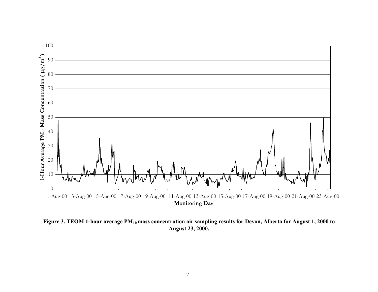

Figure 3. TEOM 1-hour average PM<sub>10</sub> mass concentration air sampling results for Devon, Alberta for August 1, 2000 to **August 23, 2000.**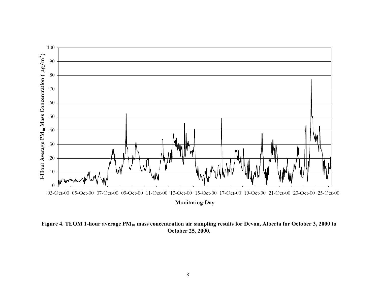

Figure 4. TEOM 1-hour average PM<sub>10</sub> mass concentration air sampling results for Devon, Alberta for October 3, 2000 to **October 25, 2000.**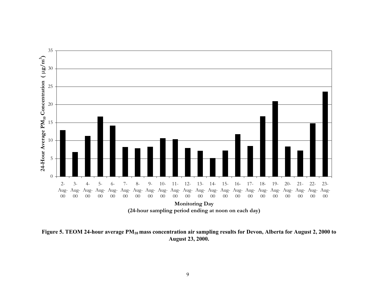

Figure 5. TEOM 24-hour average PM<sub>10</sub> mass concentration air sampling results for Devon, Alberta for August 2, 2000 to **August 23, 2000.**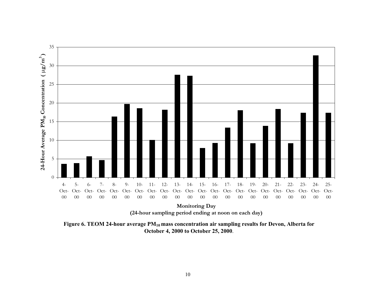

Figure 6. TEOM 24-hour average PM<sub>10</sub> mass concentration air sampling results for Devon, Alberta for **October 4, 2000 to October 25, 2000**.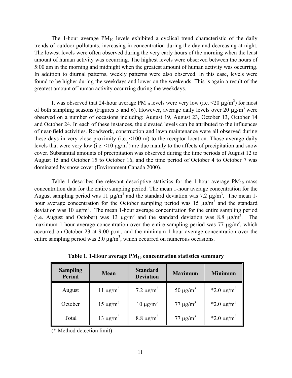The 1-hour average  $PM_{10}$  levels exhibited a cyclical trend characteristic of the daily trends of outdoor pollutants, increasing in concentration during the day and decreasing at night. The lowest levels were often observed during the very early hours of the morning when the least amount of human activity was occurring. The highest levels were observed between the hours of 5:00 am in the morning and midnight when the greatest amount of human activity was occurring. In addition to diurnal patterns, weekly patterns were also observed. In this case, levels were found to be higher during the weekdays and lower on the weekends. This is again a result of the greatest amount of human activity occurring during the weekdays.

It was observed that 24-hour average  $PM_{10}$  levels were very low (i.e.  $\leq$  20  $\mu$ g/m<sup>3</sup>) for most of both sampling seasons (Figures 5 and 6). However, average daily levels over 20  $\mu$ g/m<sup>3</sup> were observed on a number of occasions including: August 19, August 23, October 13, October 14 and October 24. In each of these instances, the elevated levels can be attributed to the influences of near-field activities. Roadwork, construction and lawn maintenance were all observed during these days in very close proximity (i.e. <100 m) to the receptor location. Those average daily levels that were very low (i.e.  $\leq 10 \mu g/m^3$ ) are due mainly to the affects of precipitation and snow cover. Substantial amounts of precipitation was observed during the time periods of August 12 to August 15 and October 15 to October 16, and the time period of October 4 to October 7 was dominated by snow cover (Environment Canada 2000).

Table 1 describes the relevant descriptive statistics for the 1-hour average  $PM_{10}$  mass concentration data for the entire sampling period. The mean 1-hour average concentration for the August sampling period was 11  $\mu$ g/m<sup>3</sup> and the standard deviation was 7.2  $\mu$ g/m<sup>3</sup>. The mean 1hour average concentration for the October sampling period was 15  $\mu$ g/m<sup>3</sup> and the standard deviation was 10  $\mu$ g/m<sup>3</sup>. The mean 1-hour average concentration for the entire sampling period (i.e. August and October) was 13  $\mu$ g/m<sup>3</sup> and the standard deviation was 8.8  $\mu$ g/m<sup>3</sup>. The maximum 1-hour average concentration over the entire sampling period was 77  $\mu$ g/m<sup>3</sup>, which occurred on October 23 at 9:00 p.m., and the minimum 1-hour average concentration over the entire sampling period was 2.0  $\mu$ g/m<sup>3</sup>, which occurred on numerous occasions.

| <b>Sampling</b><br><b>Period</b> | Mean                      | <b>Standard</b><br><b>Deviation</b> | <b>Maximum</b>            | <b>Minimum</b>              |
|----------------------------------|---------------------------|-------------------------------------|---------------------------|-----------------------------|
| August                           | 11 $\mu$ g/m <sup>3</sup> | 7.2 $\mu$ g/m <sup>3</sup>          | 50 $\mu$ g/m <sup>3</sup> | *2.0 $\mu$ g/m <sup>3</sup> |
| October                          | $15 \mu g/m^3$            | $10 \mu g/m^3$                      | $77 \mu g/m^3$            | *2.0 $\mu$ g/m <sup>3</sup> |
| Total                            | 13 $\mu$ g/m <sup>3</sup> | 8.8 $\mu$ g/m <sup>3</sup>          | $77 \mu g/m^3$            | *2.0 $\mu$ g/m <sup>3</sup> |

**Table 1. 1-Hour average PM10 concentration statistics summary** 

(\* Method detection limit)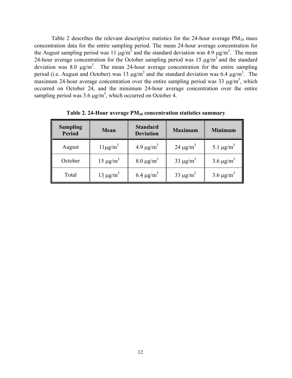Table 2 describes the relevant descriptive statistics for the 24-hour average  $PM_{10}$  mass concentration data for the entire sampling period. The mean 24-hour average concentration for the August sampling period was 11  $\mu$ g/m<sup>3</sup> and the standard deviation was 4.9  $\mu$ g/m<sup>3</sup>. The mean 24-hour average concentration for the October sampling period was 15  $\mu$ g/m<sup>3</sup> and the standard deviation was 8.0  $\mu$ g/m<sup>3</sup>. The mean 24-hour average concentration for the entire sampling period (i.e. August and October) was 13  $\mu$ g/m<sup>3</sup> and the standard deviation was 6.4  $\mu$ g/m<sup>3</sup>. The maximum 24-hour average concentration over the entire sampling period was 33  $\mu$ g/m<sup>3</sup>, which occurred on October 24, and the minimum 24-hour average concentration over the entire sampling period was 3.6  $\mu$ g/m<sup>3</sup>, which occurred on October 4.

| <b>Sampling</b><br><b>Period</b> | Mean                      | <b>Standard</b><br><b>Deviation</b> | <b>Maximum</b>            | <b>Minimum</b>             |
|----------------------------------|---------------------------|-------------------------------------|---------------------------|----------------------------|
| August                           | $11\mu\text{g/m}^3$       | 4.9 $\mu$ g/m <sup>3</sup>          | 24 $\mu$ g/m <sup>3</sup> | 5.1 $\mu$ g/m <sup>3</sup> |
| October                          | $15 \mu g/m^3$            | 8.0 $\mu$ g/m <sup>3</sup>          | 33 $\mu$ g/m <sup>3</sup> | 3.6 $\mu$ g/m <sup>3</sup> |
| Total                            | 13 $\mu$ g/m <sup>3</sup> | 6.4 $\mu$ g/m <sup>3</sup>          | 33 $\mu$ g/m <sup>3</sup> | 3.6 $\mu$ g/m <sup>3</sup> |

**Table 2. 24-Hour average PM10 concentration statistics summary**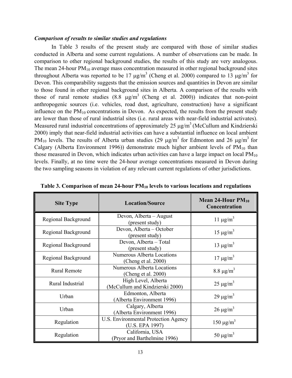#### *Comparison of results to similar studies and regulations*

In Table 3 results of the present study are compared with those of similar studies conducted in Alberta and some current regulations. A number of observations can be made. In comparison to other regional background studies, the results of this study are very analogous. The mean 24-hour  $PM_{10}$  average mass concentration measured in other regional background sites throughout Alberta was reported to be 17  $\mu$ g/m<sup>3</sup> (Cheng et al. 2000) compared to 13  $\mu$ g/m<sup>3</sup> for Devon. This comparability suggests that the emission sources and quantities in Devon are similar to those found in other regional background sites in Alberta. A comparison of the results with those of rural remote studies  $(8.8 \text{ µg/m}^3 \text{ (Cheng et al. 2000)})$  indicates that non-point anthropogenic sources (i.e. vehicles, road dust, agriculture, construction) have a significant influence on the  $PM_{10}$  concentrations in Devon. As expected, the results from the present study are lower than those of rural industrial sites (i.e. rural areas with near-field industrial activates). Measured rural industrial concentrations of approximately 25  $\mu$ g/m<sup>3</sup> (McCullum and Kindzierski 2000) imply that near-field industrial activities can have a substantial influence on local ambient PM<sub>10</sub> levels. The results of Alberta urban studies (29  $\mu$ g/m<sup>3</sup> for Edmonton and 26  $\mu$ g/m<sup>3</sup> for Calgary (Alberta Environment 1996)) demonstrate much higher ambient levels of  $PM_{10}$  than those measured in Devon, which indicates urban activities can have a large impact on local  $PM_{10}$ levels. Finally, at no time were the 24-hour average concentrations measured in Devon during the two sampling seasons in violation of any relevant current regulations of other jurisdictions.

| <b>Site Type</b>                                                                | <b>Location/Source</b>                                  | Mean 24-Hour $PM_{10}$<br>Concentration |  |
|---------------------------------------------------------------------------------|---------------------------------------------------------|-----------------------------------------|--|
| Regional Background                                                             | Devon, Alberta – August<br>(present study)              | 11 $\mu$ g/m <sup>3</sup>               |  |
| Regional Background                                                             | Devon, Alberta – October<br>(present study)             | $15 \mu g/m^3$                          |  |
| Regional Background                                                             | Devon, Alberta - Total<br>(present study)               | 13 $\mu$ g/m <sup>3</sup>               |  |
| <b>Numerous Alberta Locations</b><br>Regional Background<br>(Cheng et al. 2000) |                                                         | $17 \mu g/m^3$                          |  |
| <b>Rural Remote</b>                                                             | Numerous Alberta Locations<br>(Cheng et al. 2000)       | 8.8 $\mu$ g/m <sup>3</sup>              |  |
| Rural Industrial                                                                | High Level, Alberta<br>(McCullum and Kindzierski 2000)  | $25 \mu g/m^3$                          |  |
| Urban                                                                           | Edmonton, Alberta<br>(Alberta Environment 1996)         | $29 \mu g/m^3$                          |  |
| Urban                                                                           | Calgary, Alberta<br>(Alberta Environment 1996)          | $26 \mu g/m^3$                          |  |
| Regulation                                                                      | U.S. Environmental Protection Agency<br>(U.S. EPA 1997) | $150 \mu g/m^3$                         |  |
| Regulation                                                                      | California, USA<br>(Pryor and Barthelmine 1996)         | 50 $\mu$ g/m <sup>3</sup>               |  |

Table 3. Comparison of mean 24-hour PM<sub>10</sub> levels to various locations and regulations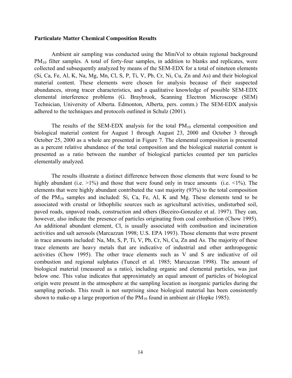#### **Particulate Matter Chemical Composition Results**

Ambient air sampling was conducted using the MiniVol to obtain regional background PM<sub>10</sub> filter samples. A total of forty-four samples, in addition to blanks and replicates, were collected and subsequently analyzed by means of the SEM-EDX for a total of nineteen elements (Si, Ca, Fe, Al, K, Na, Mg, Mn, Cl, S, P, Ti, V, Pb, Cr, Ni, Cu, Zn and As) and their biological material content. These elements were chosen for analysis because of their suspected abundances, strong tracer characteristics, and a qualitative knowledge of possible SEM-EDX elemental interference problems (G. Braybrook, Scanning Electron Microscope (SEM) Technician, University of Alberta. Edmonton, Alberta, pers. comm.) The SEM-EDX analysis adhered to the techniques and protocols outlined in Schulz (2001).

The results of the SEM-EDX analysis for the total  $PM_{10}$  elemental composition and biological material content for August 1 through August 23, 2000 and October 3 through October 25, 2000 as a whole are presented in Figure 7. The elemental composition is presented as a percent relative abundance of the total composition and the biological material content is presented as a ratio between the number of biological particles counted per ten particles elementally analyzed.

The results illustrate a distinct difference between those elements that were found to be highly abundant (i.e.  $>1\%$ ) and those that were found only in trace amounts (i.e.  $\leq 1\%$ ). The elements that were highly abundant contributed the vast majority (93%) to the total composition of the  $PM_{10}$  samples and included: Si, Ca, Fe, Al, K and Mg. These elements tend to be associated with crustal or lithophilic sources such as agricultural activities, undisturbed soil, paved roads, unpaved roads, construction and others (Beceiro-Gonzalez et al. 1997). They can, however, also indicate the presence of particles originating from coal combustion (Chow 1995). An additional abundant element, Cl, is usually associated with combustion and incineration activities and salt aerosols (Marcazzan 1998; U.S. EPA 1993). Those elements that were present in trace amounts included: Na, Mn, S, P, Ti, V, Pb, Cr, Ni, Cu, Zn and As. The majority of these trace elements are heavy metals that are indicative of industrial and other anthropogenic activities (Chow 1995). The other trace elements such as V and S are indicative of oil combustion and regional sulphates (Tuncel et al. 1985; Marcazzan 1998). The amount of biological material (measured as a ratio), including organic and elemental particles, was just below one. This value indicates that approximately an equal amount of particles of biological origin were present in the atmosphere at the sampling location as inorganic particles during the sampling periods. This result is not surprising since biological material has been consistently shown to make-up a large proportion of the  $PM_{10}$  found in ambient air (Hopke 1985).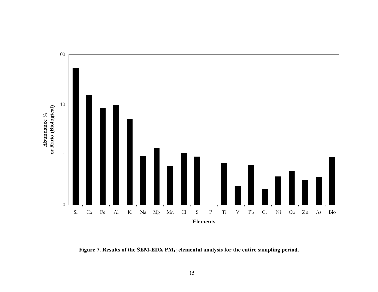

Figure 7. Results of the SEM-EDX PM<sub>10</sub> elemental analysis for the entire sampling period.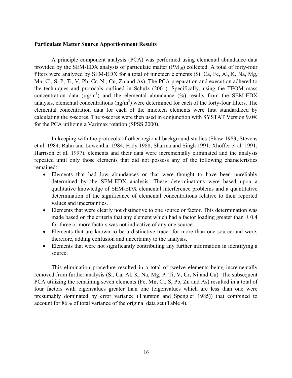#### **Particulate Matter Source Apportionment Results**

A principle component analysis (PCA) was performed using elemental abundance data provided by the SEM-EDX analysis of particulate matter  $(PM_{10})$  collected. A total of forty-four filters were analyzed by SEM-EDX for a total of nineteen elements (Si, Ca, Fe, Al, K, Na, Mg, Mn, Cl, S, P, Ti, V, Pb, Cr, Ni, Cu, Zn and As). The PCA preparation and execution adhered to the techniques and protocols outlined in Schulz (2001). Specifically, using the TEOM mass concentration data ( $\mu$ g/m<sup>3</sup>) and the elemental abundance (%) results from the SEM-EDX analysis, elemental concentrations  $(ng/m<sup>3</sup>)$  were determined for each of the forty-four filters. The elemental concentration data for each of the nineteen elements were first standardized by calculating the z-scores. The z-scores were then used in conjunction with SYSTAT Version 9.0® for the PCA utilizing a Varimax rotation (SPSS 2000).

In keeping with the protocols of other regional background studies (Shaw 1983; Stevens et al. 1984; Rahn and Lowenthal 1984; Hidy 1988; Sharma and Singh 1991; Xhoffer et al. 1991; Harrison et al. 1997), elements and their data were incrementally eliminated and the analysis repeated until only those elements that did not possess any of the following characteristics remained:

- Elements that had low abundances or that were thought to have been unreliably determined by the SEM-EDX analysis. These determinations were based upon a qualitative knowledge of SEM-EDX elemental interference problems and a quantitative determination of the significance of elemental concentrations relative to their reported values and uncertainties.
- Elements that were clearly not distinctive to one source or factor. This determination was made based on the criteria that any element which had a factor loading greater than  $\pm 0.4$ for three or more factors was not indicative of any one source.
- Elements that are known to be a distinctive tracer for more than one source and were, therefore, adding confusion and uncertainty to the analysis.
- Elements that were not significantly contributing any further information in identifying a source.

This elimination procedure resulted in a total of twelve elements being incrementally removed from further analysis (Si, Ca, Al, K, Na, Mg, P, Ti, V, Cr, Ni and Cu). The subsequent PCA utilizing the remaining seven elements (Fe, Mn, Cl, S, Pb, Zn and As) resulted in a total of four factors with eigenvalues greater than one (eigenvalues which are less than one were presumably dominated by error variance (Thurston and Spengler 1985)) that combined to account for 86% of total variance of the original data set (Table 4).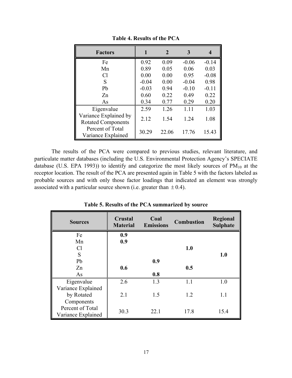| <b>Factors</b>                                     | 1       | 2     | 3       | 4       |
|----------------------------------------------------|---------|-------|---------|---------|
| Fe                                                 | 0.92    | 0.09  | $-0.06$ | $-0.14$ |
| Mn                                                 | 0.89    | 0.05  | 0.06    | 0.03    |
| C <sub>1</sub>                                     | 0.00    | 0.00  | 0.95    | $-0.08$ |
| S                                                  | $-0.04$ | 0.00  | $-0.04$ | 0.98    |
| Pb                                                 | $-0.03$ | 0.94  | $-0.10$ | $-0.11$ |
| Zn                                                 | 0.60    | 0.22  | 0.49    | 0.22    |
| As                                                 | 0.34    | 0.77  | 0.29    | 0.20    |
| Eigenvalue                                         | 2.59    | 1.26  | 1.11    | 1.03    |
| Variance Explained by<br><b>Rotated Components</b> | 2.12    | 1.54  | 1.24    | 1.08    |
| Percent of Total<br>Variance Explained             | 30.29   | 22.06 | 17.76   | 15.43   |

**Table 4. Results of the PCA** 

The results of the PCA were compared to previous studies, relevant literature, and particulate matter databases (including the U.S. Environmental Protection Agency's SPECIATE database (U.S. EPA 1993)) to identify and categorize the most likely sources of  $PM_{10}$  at the receptor location. The result of the PCA are presented again in Table 5 with the factors labeled as probable sources and with only those factor loadings that indicated an element was strongly associated with a particular source shown (i.e. greater than  $\pm$  0.4).

| <b>Sources</b>     | Crustal<br><b>Material</b> | Coal<br><b>Emissions</b> | <b>Combustion</b> | <b>Regional</b><br><b>Sulphate</b> |
|--------------------|----------------------------|--------------------------|-------------------|------------------------------------|
| Fe                 | 0.9                        |                          |                   |                                    |
| Mn                 | 0.9                        |                          |                   |                                    |
| Cl                 |                            |                          | 1.0               |                                    |
| S                  |                            |                          |                   | 1.0                                |
| Pb                 |                            | 0.9                      |                   |                                    |
| Zn                 | 0.6                        |                          | 0.5               |                                    |
| As                 |                            | 0.8                      |                   |                                    |
| Eigenvalue         | 2.6                        | 1.3                      | 1.1               | 1.0                                |
| Variance Explained |                            |                          |                   |                                    |
| by Rotated         | 2.1                        | 1.5                      | 1.2               | 1.1                                |
| Components         |                            |                          |                   |                                    |
| Percent of Total   |                            |                          |                   |                                    |
| Variance Explained | 30.3                       | 22.1                     | 17.8              | 15.4                               |

**Table 5. Results of the PCA summarized by source**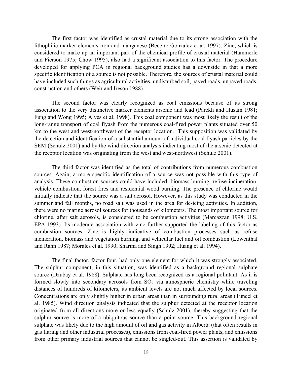The first factor was identified as crustal material due to its strong association with the lithophilic marker elements iron and manganese (Beceiro-Gonzalez et al. 1997). Zinc, which is considered to make up an important part of the chemical profile of crustal material (Hammerle and Pierson 1975; Chow 1995), also had a significant association to this factor. The procedure developed for applying PCA in regional background studies has a downside in that a more specific identification of a source is not possible. Therefore, the sources of crustal material could have included such things as agricultural activities, undisturbed soil, paved roads, unpaved roads, construction and others (Weir and Ireson 1988).

The second factor was clearly recognized as coal emissions because of its strong association to the very distinctive marker elements arsenic and lead (Parekh and Husain 1981; Fung and Wong 1995; Alves et al. 1998). This coal component was most likely the result of the long-range transport of coal flyash from the numerous coal-fired power plants situated over 50 km to the west and west-northwest of the receptor location. This supposition was validated by the detection and identification of a substantial amount of individual coal flyash particles by the SEM (Schulz 2001) and by the wind direction analysis indicating most of the arsenic detected at the receptor location was originating from the west and west-northwest (Schulz 2001).

The third factor was identified as the total of contributions from numerous combustion sources. Again, a more specific identification of a source was not possible with this type of analysis. These combustion sources could have included: biomass burning, refuse incineration, vehicle combustion, forest fires and residential wood burning. The presence of chlorine would initially indicate that the source was a salt aerosol. However, as this study was conducted in the summer and fall months, no road salt was used in the area for de-icing activities. In addition, there were no marine aerosol sources for thousands of kilometers. The most important source for chlorine, after salt aerosols, is considered to be combustion activities (Marcazzan 1998; U.S. EPA 1993). Its moderate association with zinc further supported the labeling of this factor as combustion sources. Zinc is highly indicative of combustion processes such as refuse incineration, biomass and vegetation burning, and vehicular fuel and oil combustion (Lowenthal and Rahn 1987; Morales et al. 1990; Sharma and Singh 1992; Huang et al. 1994).

The final factor, factor four, had only one element for which it was strongly associated. The sulphur component, in this situation, was identified as a background regional sulphate source (Dzubay et al. 1988). Sulphate has long been recognized as a regional pollutant. As it is formed slowly into secondary aerosols from  $SO<sub>2</sub>$  via atmospheric chemistry while traveling distances of hundreds of kilometers, its ambient levels are not much affected by local sources. Concentrations are only slightly higher in urban areas than in surrounding rural areas (Tuncel et al. 1985). Wind direction analysis indicated that the sulphur detected at the receptor location originated from all directions more or less equally (Schulz 2001), thereby suggesting that the sulphur source is more of a ubiquitous source than a point source. This background regional sulphate was likely due to the high amount of oil and gas activity in Alberta (that often results in gas flaring and other industrial processes), emissions from coal-fired power plants, and emissions from other primary industrial sources that cannot be singled-out. This assertion is validated by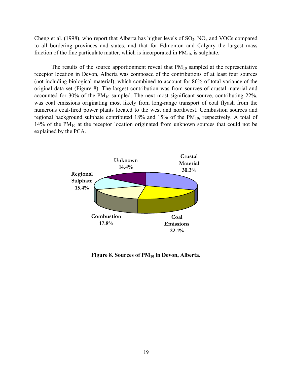Cheng et al. (1998), who report that Alberta has higher levels of  $SO_2$ ,  $NO<sub>x</sub>$  and VOCs compared to all bordering provinces and states, and that for Edmonton and Calgary the largest mass fraction of the fine particulate matter, which is incorporated in  $PM_{10}$ , is sulphate.

The results of the source apportionment reveal that  $PM_{10}$  sampled at the representative receptor location in Devon, Alberta was composed of the contributions of at least four sources (not including biological material), which combined to account for 86% of total variance of the original data set (Figure 8). The largest contribution was from sources of crustal material and accounted for 30% of the  $PM_{10}$  sampled. The next most significant source, contributing 22%, was coal emissions originating most likely from long-range transport of coal flyash from the numerous coal-fired power plants located to the west and northwest. Combustion sources and regional background sulphate contributed 18% and 15% of the  $PM_{10}$ , respectively. A total of 14% of the  $PM_{10}$  at the receptor location originated from unknown sources that could not be explained by the PCA.



Figure 8. Sources of PM<sub>10</sub> in Devon, Alberta.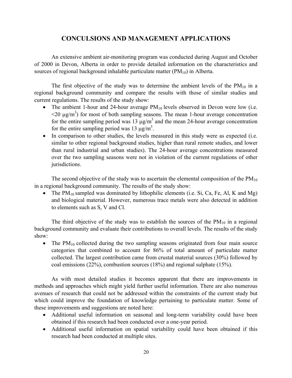# **CONCULSIONS AND MANAGEMENT APPLICATIONS**

An extensive ambient air-monitoring program was conducted during August and October of 2000 in Devon, Alberta in order to provide detailed information on the characteristics and sources of regional background inhalable particulate matter  $(PM_{10})$  in Alberta.

The first objective of the study was to determine the ambient levels of the  $PM_{10}$  in a regional background community and compare the results with those of similar studies and current regulations. The results of the study show:

- The ambient 1-hour and 24-hour average  $PM_{10}$  levels observed in Devon were low (i.e.  $\leq$ 20  $\mu$ g/m<sup>3</sup>) for most of both sampling seasons. The mean 1-hour average concentration for the entire sampling period was 13  $\mu$ g/m<sup>3</sup> and the mean 24-hour average concentration for the entire sampling period was 13  $\mu$ g/m<sup>3</sup>.
- In comparison to other studies, the levels measured in this study were as expected (i.e. similar to other regional background studies, higher than rural remote studies, and lower than rural industrial and urban studies). The 24-hour average concentrations measured over the two sampling seasons were not in violation of the current regulations of other jurisdictions.

The second objective of the study was to ascertain the elemental composition of the  $PM_{10}$ in a regional background community. The results of the study show:

• The  $PM_{10}$  sampled was dominated by lithophilic elements (i.e. Si, Ca, Fe, Al, K and Mg) and biological material. However, numerous trace metals were also detected in addition to elements such as S, V and Cl.

The third objective of the study was to establish the sources of the  $PM_{10}$  in a regional background community and evaluate their contributions to overall levels. The results of the study show:

• The  $PM_{10}$  collected during the two sampling seasons originated from four main source categories that combined to account for 86% of total amount of particulate matter collected. The largest contribution came from crustal material sources (30%) followed by coal emissions (22%), combustion sources (18%) and regional sulphate (15%).

As with most detailed studies it becomes apparent that there are improvements in methods and approaches which might yield further useful information. There are also numerous avenues of research that could not be addressed within the constraints of the current study but which could improve the foundation of knowledge pertaining to particulate matter. Some of these improvements and suggestions are noted here:

- Additional useful information on seasonal and long-term variability could have been obtained if this research had been conducted over a one-year period.
- Additional useful information on spatial variability could have been obtained if this research had been conducted at multiple sites.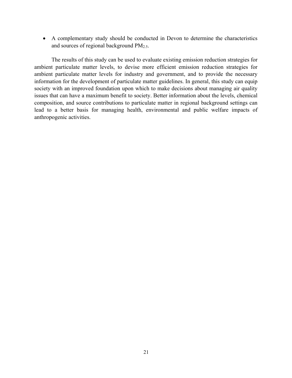• A complementary study should be conducted in Devon to determine the characteristics and sources of regional background  $PM<sub>2.5</sub>$ .

The results of this study can be used to evaluate existing emission reduction strategies for ambient particulate matter levels, to devise more efficient emission reduction strategies for ambient particulate matter levels for industry and government, and to provide the necessary information for the development of particulate matter guidelines. In general, this study can equip society with an improved foundation upon which to make decisions about managing air quality issues that can have a maximum benefit to society. Better information about the levels, chemical composition, and source contributions to particulate matter in regional background settings can lead to a better basis for managing health, environmental and public welfare impacts of anthropogenic activities.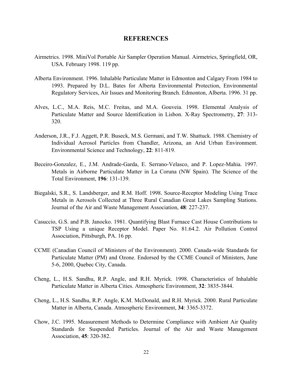#### **REFERENCES**

- Airmetrics. 1998. MiniVol Portable Air Sampler Operation Manual. Airmetrics, Springfield, OR, USA. February 1998. 119 pp.
- Alberta Environment. 1996. Inhalable Particulate Matter in Edmonton and Calgary From 1984 to 1993. Prepared by D.L. Bates for Alberta Environmental Protection, Environmental Regulatory Services, Air Issues and Monitoring Branch. Edmonton, Alberta. 1996. 31 pp.
- Alves, L.C., M.A. Reis, M.C. Freitas, and M.A. Gouveia. 1998. Elemental Analysis of Particulate Matter and Source Identification in Lisbon. X-Ray Spectrometry, **27**: 313- 320.
- Anderson, J.R., F.J. Aggett, P.R. Buseck, M.S. Germani, and T.W. Shattuck. 1988. Chemistry of Individual Aerosol Particles from Chandler, Arizona, an Arid Urban Environment. Environmental Science and Technology, **22**: 811-819.
- Beceiro-Gonzalez, E., J.M. Andrade-Garda, E. Serrano-Velasco, and P. Lopez-Mahia. 1997. Metals in Airborne Particulate Matter in La Coruna (NW Spain). The Science of the Total Environment, **196**: 131-139.
- Biegalski, S.R., S. Landsberger, and R.M. Hoff. 1998. Source-Receptor Modeling Using Trace Metals in Aerosols Collected at Three Rural Canadian Great Lakes Sampling Stations. Journal of the Air and Waste Management Association, **48**: 227-237.
- Casuccio, G.S. and P.B. Janocko. 1981. Quantifying Blast Furnace Cast House Contributions to TSP Using a unique Receptor Model. Paper No. 81.64.2. Air Pollution Control Association, Pittsburgh, PA. 16 pp.
- CCME (Canadian Council of Ministers of the Environment). 2000. Canada-wide Standards for Particulate Matter (PM) and Ozone. Endorsed by the CCME Council of Ministers, June 5-6, 2000, Quebec City, Canada.
- Cheng, L., H.S. Sandhu, R.P. Angle, and R.H. Myrick. 1998. Characteristics of Inhalable Particulate Matter in Alberta Cities. Atmospheric Environment, **32**: 3835-3844.
- Cheng, L., H.S. Sandhu, R.P. Angle, K.M. McDonald, and R.H. Myrick. 2000. Rural Particulate Matter in Alberta, Canada. Atmospheric Environment, **34**: 3365-3372.
- Chow, J.C. 1995. Measurement Methods to Determine Compliance with Ambient Air Quality Standards for Suspended Particles. Journal of the Air and Waste Management Association, **45**: 320-382.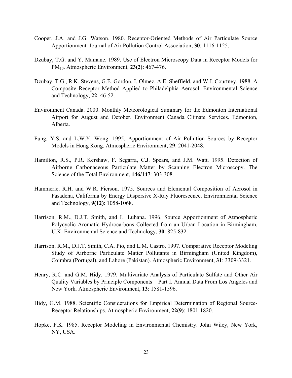- Cooper, J.A. and J.G. Watson. 1980. Receptor-Oriented Methods of Air Particulate Source Apportionment. Journal of Air Pollution Control Association, **30**: 1116-1125.
- Dzubay, T.G. and Y. Mamane. 1989. Use of Electron Microscopy Data in Receptor Models for PM10. Atmospheric Environment, **23(2)**: 467-476.
- Dzubay, T.G., R.K. Stevens, G.E. Gordon, I. Olmez, A.E. Sheffield, and W.J. Courtney. 1988. A Composite Receptor Method Applied to Philadelphia Aerosol. Environmental Science and Technology, **22**: 46-52.
- Environment Canada. 2000. Monthly Meteorological Summary for the Edmonton International Airport for August and October. Environment Canada Climate Services. Edmonton, Alberta.
- Fung, Y.S. and L.W.Y. Wong. 1995. Apportionment of Air Pollution Sources by Receptor Models in Hong Kong. Atmospheric Environment, **29**: 2041-2048.
- Hamilton, R.S., P.R. Kershaw, F. Segarra, C.J. Spears, and J.M. Watt. 1995. Detection of Airborne Carbonaceous Particulate Matter by Scanning Electron Microscopy. The Science of the Total Environment, **146/147**: 303-308.
- Hammerle, R.H. and W.R. Pierson. 1975. Sources and Elemental Composition of Aerosol in Pasadena, California by Energy Dispersive X-Ray Fluorescence. Environmental Science and Technology, **9(12)**: 1058-1068.
- Harrison, R.M., D.J.T. Smith, and L. Luhana. 1996. Source Apportionment of Atmospheric Polycyclic Aromatic Hydrocarbons Collected from an Urban Location in Birmingham, U.K. Environmental Science and Technology, **30**: 825-832.
- Harrison, R.M., D.J.T. Smith, C.A. Pio, and L.M. Castro. 1997. Comparative Receptor Modeling Study of Airborne Particulate Matter Pollutants in Birmingham (United Kingdom), Coimbra (Portugal), and Lahore (Pakistan). Atmospheric Environment, **31**: 3309-3321.
- Henry, R.C. and G.M. Hidy. 1979. Multivariate Analysis of Particulate Sulfate and Other Air Quality Variables by Principle Components – Part I. Annual Data From Los Angeles and New York. Atmospheric Environment, **13**: 1581-1596.
- Hidy, G.M. 1988. Scientific Considerations for Empirical Determination of Regional Source-Receptor Relationships. Atmospheric Environment, **22(9)**: 1801-1820.
- Hopke, P.K. 1985. Receptor Modeling in Environmental Chemistry. John Wiley, New York, NY, USA.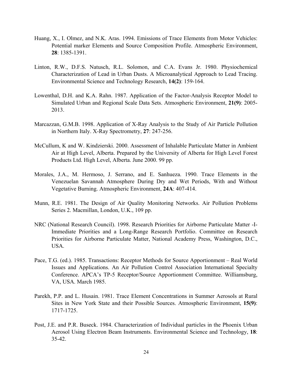- Huang, X., I. Olmez, and N.K. Aras. 1994. Emissions of Trace Elements from Motor Vehicles: Potential marker Elements and Source Composition Profile. Atmospheric Environment, **28**: 1385-1391.
- Linton, R.W., D.F.S. Natusch, R.L. Solomon, and C.A. Evans Jr. 1980. Physiochemical Characterization of Lead in Urban Dusts. A Microanalytical Approach to Lead Tracing. Environmental Science and Technology Research, **14(2)**: 159-164.
- Lowenthal, D.H. and K.A. Rahn. 1987. Application of the Factor-Analysis Receptor Model to Simulated Urban and Regional Scale Data Sets. Atmospheric Environment, **21(9)**: 2005- 2013.
- Marcazzan, G.M.B. 1998. Application of X-Ray Analysis to the Study of Air Particle Pollution in Northern Italy. X-Ray Spectrometry, **27**: 247-256.
- McCullum, K and W. Kindzierski. 2000. Assessment of Inhalable Particulate Matter in Ambient Air at High Level, Alberta. Prepared by the University of Alberta for High Level Forest Products Ltd. High Level, Alberta. June 2000. 99 pp.
- Morales, J.A., M. Hermoso, J. Serrano, and E. Sanhueza. 1990. Trace Elements in the Venezuelan Savannah Atmosphere During Dry and Wet Periods, With and Without Vegetative Burning. Atmospheric Environment, **24A**: 407-414.
- Munn, R.E. 1981. The Design of Air Quality Monitoring Networks. Air Pollution Problems Series 2. Macmillan, London, U.K., 109 pp.
- NRC (National Research Council). 1998. Research Priorities for Airborne Particulate Matter -I-Immediate Priorities and a Long-Range Research Portfolio. Committee on Research Priorities for Airborne Particulate Matter, National Academy Press, Washington, D.C., USA.
- Pace, T.G. (ed.). 1985. Transactions: Receptor Methods for Source Apportionment Real World Issues and Applications. An Air Pollution Control Association International Specialty Conference. APCA's TP-5 Receptor/Source Apportionment Committee. Williamsburg, VA, USA. March 1985.
- Parekh, P.P. and L. Husain. 1981. Trace Element Concentrations in Summer Aerosols at Rural Sites in New York State and their Possible Sources. Atmospheric Environment, **15(9)**: 1717-1725.
- Post, J.E. and P.R. Buseck. 1984. Characterization of Individual particles in the Phoenix Urban Aerosol Using Electron Beam Instruments. Environmental Science and Technology, **18**: 35-42.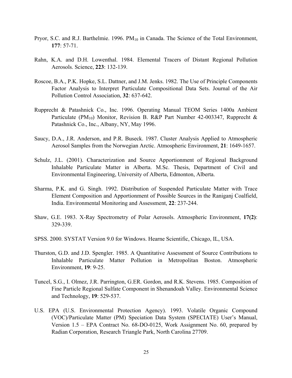- Pryor, S.C. and R.J. Barthelmie. 1996.  $PM_{10}$  in Canada. The Science of the Total Environment, **177**: 57-71.
- Rahn, K.A. and D.H. Lowenthal. 1984. Elemental Tracers of Distant Regional Pollution Aerosols. Science, **223**: 132-139.
- Roscoe, B.A., P.K. Hopke, S.L. Dattner, and J.M. Jenks. 1982. The Use of Principle Components Factor Analysis to Interpret Particulate Compositional Data Sets. Journal of the Air Pollution Control Association, **32**: 637-642.
- Rupprecht & Patashnick Co., Inc. 1996. Operating Manual TEOM Series 1400a Ambient Particulate (PM<sub>10</sub>) Monitor, Revision B. R&P Part Number 42-003347, Rupprecht & Patashnick Co., Inc., Albany, NY, May 1996.
- Saucy, D.A., J.R. Anderson, and P.R. Buseck. 1987. Cluster Analysis Applied to Atmospheric Aerosol Samples from the Norwegian Arctic. Atmospheric Environment, **21**: 1649-1657.
- Schulz, J.L. (2001). Characterization and Source Apportionment of Regional Background Inhalable Particulate Matter in Alberta. M.Sc. Thesis, Department of Civil and Environmental Engineering, University of Alberta, Edmonton, Alberta.
- Sharma, P.K. and G. Singh. 1992. Distribution of Suspended Particulate Matter with Trace Element Composition and Apportionment of Possible Sources in the Raniganj Coalfield, India. Environmental Monitoring and Assessment, **22**: 237-244.
- Shaw, G.E. 1983. X-Ray Spectrometry of Polar Aerosols. Atmospheric Environment, **17(2)**: 329-339.
- SPSS. 2000. SYSTAT Version 9.0 for Windows. Hearne Scientific, Chicago, IL, USA.
- Thurston, G.D. and J.D. Spengler. 1985. A Quantitative Assessment of Source Contributions to Inhalable Particulate Matter Pollution in Metropolitan Boston. Atmospheric Environment, **19**: 9-25.
- Tuncel, S.G., I. Olmez, J.R. Parrington, G.ER. Gordon, and R.K. Stevens. 1985. Composition of Fine Particle Regional Sulfate Component in Shenandoah Valley. Environmental Science and Technology, **19**: 529-537.
- U.S. EPA (U.S. Environmental Protection Agency). 1993. Volatile Organic Compound (VOC)/Particulate Matter (PM) Speciation Data System (SPECIATE) User's Manual, Version 1.5 – EPA Contract No. 68-DO-0125, Work Assignment No. 60, prepared by Radian Corporation, Research Triangle Park, North Carolina 27709.